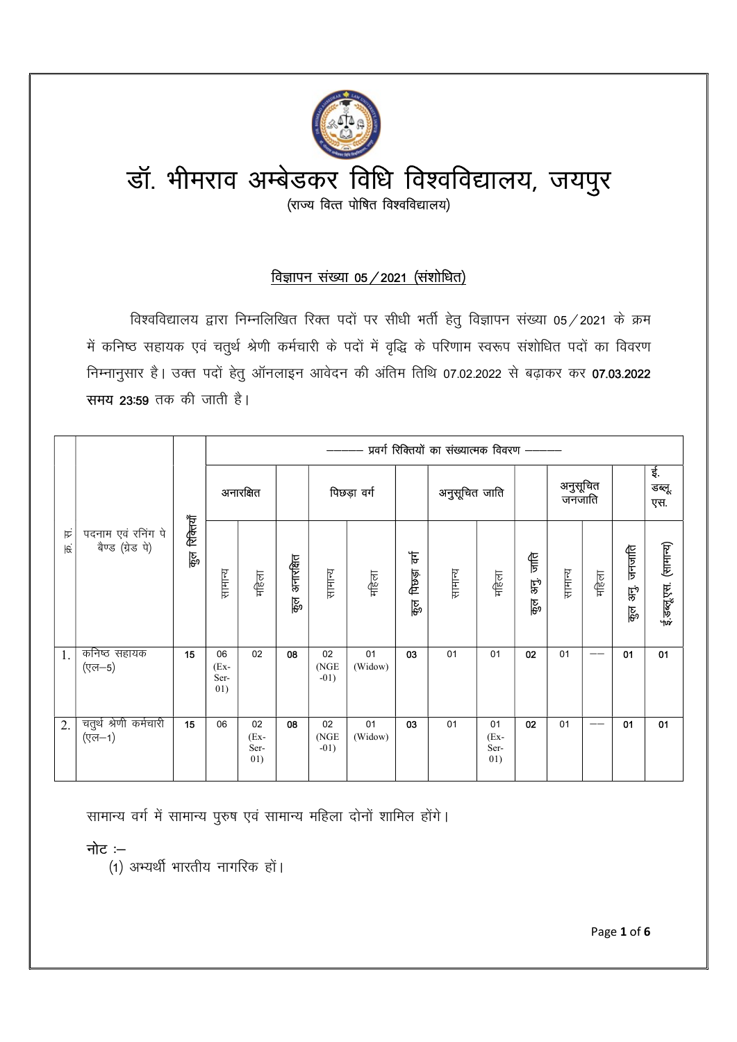

# विज्ञापन संख्या 05  $/$  2021 (संशोधित)

विश्वविद्यालय द्वारा निम्नलिखित रिक्त पदों पर सीधी भर्ती हेतू विज्ञापन संख्या 05 / 2021 के क्रम में कनिष्ठ सहायक एवं चतुर्थ श्रेणी कर्मचारी के पदों में वृद्धि के परिणाम स्वरूप संशोधित पदों का विवरण निम्नानुसार है। उक्त पदों हेतु ऑनलाइन आवेदन की अंतिम तिथि 07.02.2022 से बढाकर कर **07.03.2022** समय 23:59 तक की जाती है।

|    |          |                                        |                       |                              |                             |                  |                       |               |                         | प्रवर्ग रिक्तियों का संख्यात्मक विवरण ——— |                             |                               |         |                       |                     |                          |  |
|----|----------|----------------------------------------|-----------------------|------------------------------|-----------------------------|------------------|-----------------------|---------------|-------------------------|-------------------------------------------|-----------------------------|-------------------------------|---------|-----------------------|---------------------|--------------------------|--|
|    |          |                                        |                       | अनारक्षित                    |                             | पिछड़ा वर्ग      |                       |               | अनुसूचित जाति           |                                           | अनुसूचित<br>जनजाति          |                               |         | ર્વન<br>डब्लू.<br>एस. |                     |                          |  |
|    | 臣<br>हिं | पदनाम एवं रनिंग पे<br>बैण्ड (ग्रेड पे) | रिक्तियाँ<br>कु<br>कु | सामान्य                      | महिला                       | अनारक्षित<br>हु० | सामान्य               | गहिला         | ह<br>विछन्न<br>कु<br>कु | सामान्य                                   | गहिला                       | $rac{1}{5}$<br>हरे<br>्<br>कु | सामान्य | महिला                 | जनजाति<br>B.<br>हुन | (सामान्य)<br>ई.डब्लू.एस. |  |
| 1. |          | कनिष्ठ सहायक<br>(एल—5)                 | 15                    | 06<br>$(EX -$<br>Ser-<br>01) | 02                          | 08               | 02<br>(NGE)<br>$-01)$ | 01<br>(Widow) | 03                      | 01                                        | 01                          | 02                            | 01      | $-\!$ $\!-$           | 01                  | 01                       |  |
| 2. |          | चतुर्थ श्रेणी कर्मचारी<br>(एल—1)       | 15                    | 06                           | 02<br>$(Ex-$<br>Ser-<br>01) | 08               | 02<br>(NGE)<br>$-01)$ | 01<br>(Widow) | 03                      | 01                                        | 01<br>$(Ex-$<br>Ser-<br>01) | 02                            | 01      | $-\!$ $\!-$           | 01                  | 01                       |  |

सामान्य वर्ग में सामान्य पुरुष एवं सामान्य महिला दोनों शामिल होंगे।

नोट $:=$ 

(1) अभ्यर्थी भारतीय नागरिक हों।

Page 1 of 6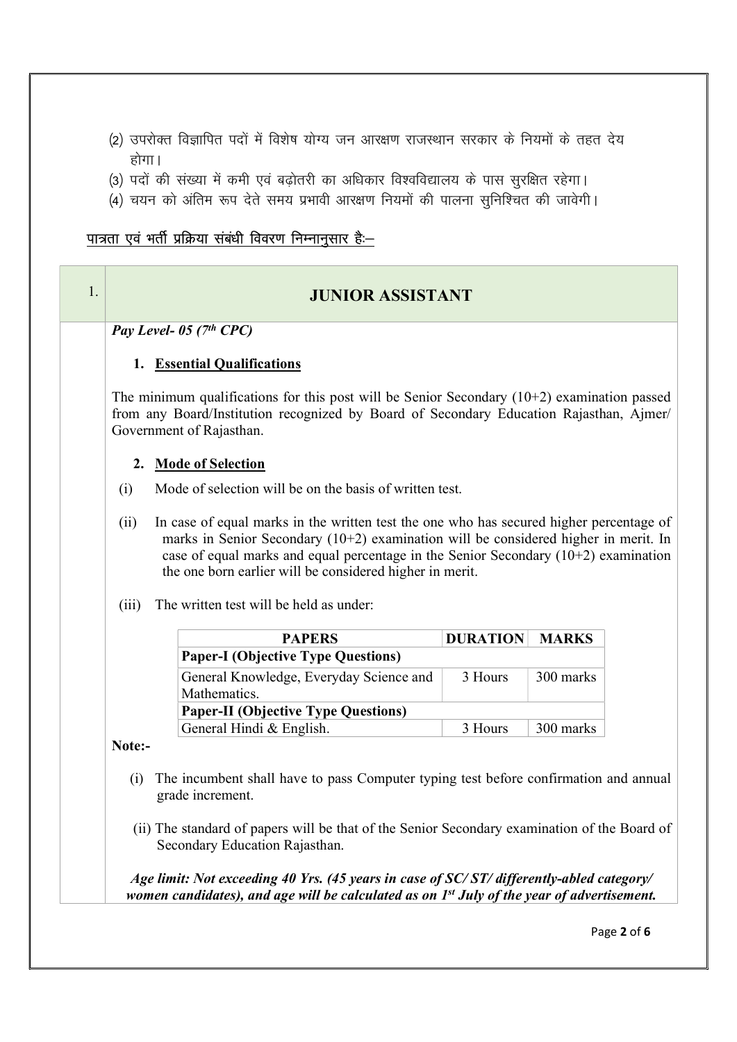- (2) उपरोक्त विज्ञापित पदों में विशेष योग्य जन आरक्षण राजस्थान सरकार के नियमों के तहत देय होगा।
- (3) पदों की संख्या में कमी एवं बढोतरी का अधिकार विश्वविद्यालय के पास सुरक्षित रहेगा।
- (4) चयन को अंतिम रूप देते समय प्रभावी आरक्षण नियमों की पालना सुनिश्चित की जावेगी।

## पात्रता एवं भर्ती प्रक्रिया संबंधी विवरण निम्नानुसार है:-

# 1. JUNIOR ASSISTANT

Pay Level- 05 ( $7<sup>th</sup>$  CPC)

### 1. Essential Qualifications

The minimum qualifications for this post will be Senior Secondary  $(10+2)$  examination passed from any Board/Institution recognized by Board of Secondary Education Rajasthan, Ajmer/ Government of Rajasthan.

#### 2. Mode of Selection

- (i) Mode of selection will be on the basis of written test.
- (ii) In case of equal marks in the written test the one who has secured higher percentage of marks in Senior Secondary  $(10+2)$  examination will be considered higher in merit. In case of equal marks and equal percentage in the Senior Secondary (10+2) examination the one born earlier will be considered higher in merit.
- (iii) The written test will be held as under:

| <b>PAPERS</b>                              | <b>DURATION</b> | <b>MARKS</b> |  |  |  |  |  |
|--------------------------------------------|-----------------|--------------|--|--|--|--|--|
| <b>Paper-I (Objective Type Questions)</b>  |                 |              |  |  |  |  |  |
| General Knowledge, Everyday Science and    | 3 Hours         | 300 marks    |  |  |  |  |  |
| Mathematics.                               |                 |              |  |  |  |  |  |
| <b>Paper-II (Objective Type Questions)</b> |                 |              |  |  |  |  |  |
| General Hindi & English.                   | 3 Hours         | 300 marks    |  |  |  |  |  |

#### Note:-

- (i) The incumbent shall have to pass Computer typing test before confirmation and annual grade increment.
- (ii) The standard of papers will be that of the Senior Secondary examination of the Board of Secondary Education Rajasthan.

Age limit: Not exceeding 40 Yrs. (45 years in case of SC/ ST/ differently-abled category/ women candidates), and age will be calculated as on  $1<sup>st</sup>$  July of the year of advertisement.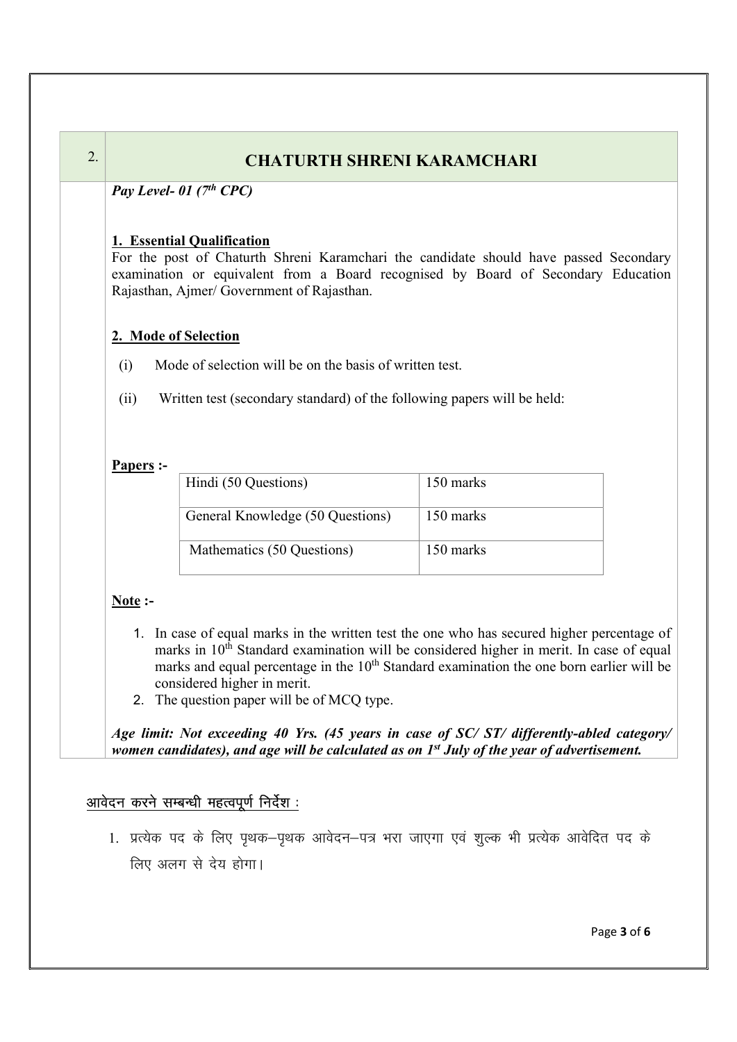# 2. CHATURTH SHRENI KARAMCHARI

Pay Level- 01  $(7<sup>th</sup>$  CPC)

## 1. Essential Qualification

For the post of Chaturth Shreni Karamchari the candidate should have passed Secondary examination or equivalent from a Board recognised by Board of Secondary Education Rajasthan, Ajmer/ Government of Rajasthan.

## 2. Mode of Selection

- (i) Mode of selection will be on the basis of written test.
- (ii) Written test (secondary standard) of the following papers will be held:

## Papers :-

| Hindi (50 Questions)             | 150 marks |
|----------------------------------|-----------|
| General Knowledge (50 Questions) | 150 marks |
| Mathematics (50 Questions)       | 150 marks |

## Note :-

- 1. In case of equal marks in the written test the one who has secured higher percentage of marks in  $10<sup>th</sup>$  Standard examination will be considered higher in merit. In case of equal marks and equal percentage in the  $10<sup>th</sup>$  Standard examination the one born earlier will be considered higher in merit.
- 2. The question paper will be of MCQ type.

Age limit: Not exceeding 40 Yrs. (45 years in case of SC/ST/ differently-abled category/ women candidates), and age will be calculated as on  $1<sup>st</sup>$  July of the year of advertisement.

## आवेदन करने सम्बन्धी महत्वपूर्ण निर्देश:

1. प्रत्येक पद के लिए पृथक–पृथक आवेदन–पत्र भरा जाएगा एवं शुल्क भी प्रत्येक आवेदित पद के लिए अलग से देय होगा।

Page 3 of 6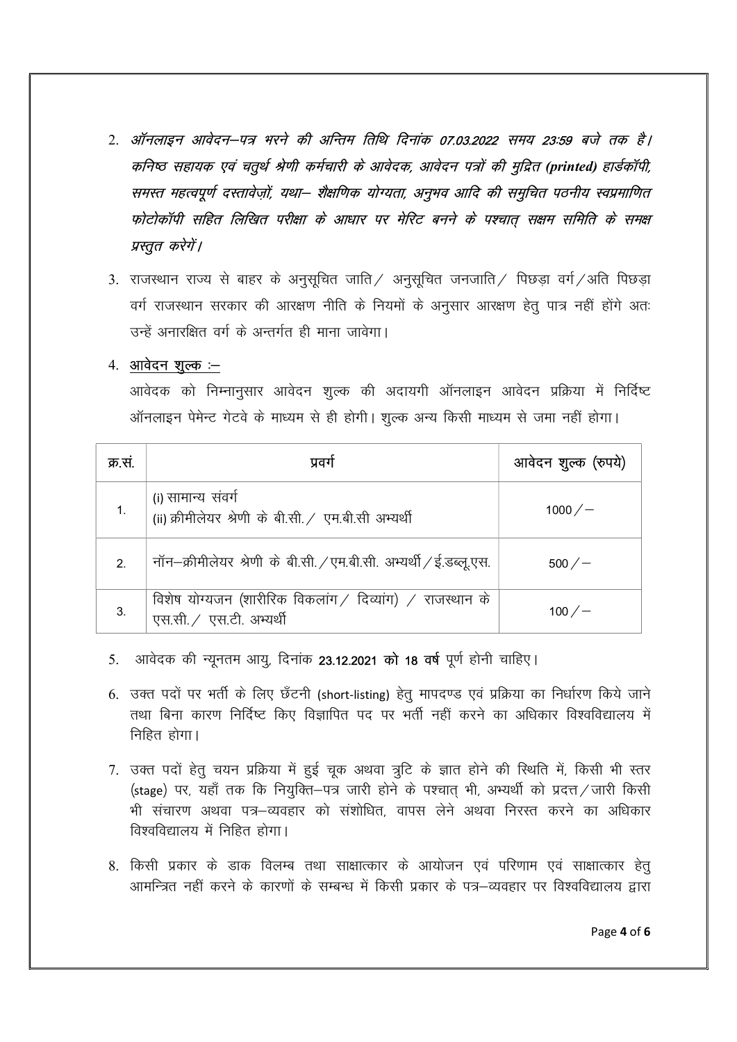- 2. ऑनलाइन आवेदन–पत्र भरने की अन्तिम तिथि दिनांक 07.03.2022 समय 23:59 बजे तक है। कनिष्ठ सहायक एवं चतुर्थ श्रेणी कर्मचारी के आवेदक, आवेदन पत्रों की मुद्रित (printed) हार्डकॉपी, समस्त महत्वपूर्ण दस्तावेज़ों, यथा– शैक्षणिक योग्यता, अनुभव आदि की समुचित पठनीय स्वप्रमाणित फोटोकॉपी सहित लिखित परीक्षा के आधार पर मेरिट बनने के पश्चात सक्षम समिति के समक्ष प्रस्तूत करेगें।
- 3. राजस्थान राज्य से बाहर के अनुसूचित जाति / अनुसूचित जनजाति / पिछड़ा वर्ग / अति पिछड़ा वर्ग राजस्थान सरकार की आरक्षण नीति के नियमों के अनुसार आरक्षण हेतु पात्र नहीं होंगे अतः उन्हें अनारक्षित वर्ग के अन्तर्गत ही माना जावेगा।

### 4. आवेदन शूल्क :--

आवेदक को निम्नानुसार आवेदन शुल्क की अदायगी ऑनलाइन आवेदन प्रक्रिया में निर्दिष्ट ऑनलाइन पेमेन्ट गेटवे के माध्यम से ही होगी। शुल्क अन्य किसी माध्यम से जमा नहीं होगा।

| क्र.स.                      | प्रवग                                                                                | आवेदन शुल्क (रुपये) |
|-----------------------------|--------------------------------------------------------------------------------------|---------------------|
|                             | (i) सामान्य संवर्ग<br>(ii) क्रीमीलेयर श्रेणी के बी.सी. / एम.बी.सी अभ्यर्थी           | $1000 / -$          |
| $\mathcal{P}_{\mathcal{C}}$ | नॉन-क्रीमीलेयर श्रेणी के बी.सी. / एम.बी.सी. अभ्यर्थी / ई.डब्लू.एस.                   | $500 / -$           |
|                             | विशेष योग्यजन (शारीरिक विकलांग / दिव्यांग) / राजस्थान के<br>एस.सी. / एस.टी. अभ्यर्थी | 100 $/$ $-$         |

- 5. आवेदक की न्यूनतम आयू, दिनांक 23.12.2021 को 18 वर्ष पूर्ण होनी चाहिए।
- 6. उक्त पदों पर भर्ती के लिए छँटनी (short-listing) हेतू मापदण्ड एवं प्रक्रिया का निर्धारण किये जाने तथा बिना कारण निर्दिष्ट किए विज्ञापित पद पर भर्ती नहीं करने का अधिकार विश्वविद्यालय में निहित होगा।
- 7. उक्त पदों हेतू चयन प्रक्रिया में हुई चुक अथवा त्रूटि के ज्ञात होने की स्थिति में, किसी भी स्तर (stage) पर, यहाँ तक कि नियुक्ति–पत्र जारी होने के पश्चात् भी, अभ्यर्थी को प्रदत्त / जारी किसी भी संचारण अथवा पत्र–व्यवहार को संशोधित, वापस लेने अथवा निरस्त करने का अधिकार विश्वविद्यालय में निहित होगा।
- 8. किसी प्रकार के डाक विलम्ब तथा साक्षात्कार के आयोजन एवं परिणाम एवं साक्षात्कार हेत् आमन्त्रित नहीं करने के कारणों के सम्बन्ध में किसी प्रकार के पत्र—व्यवहार पर विश्वविद्यालय द्वारा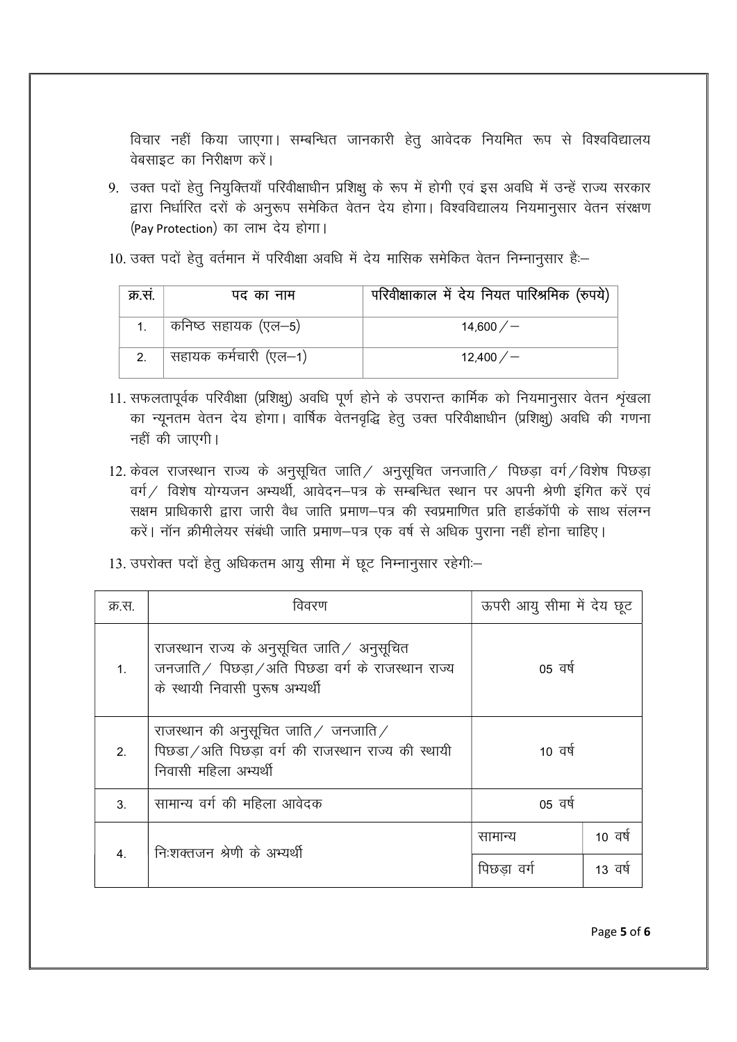विचार नहीं किया जाएगा। सम्बन्धित जानकारी हेतू आवेदक नियमित रूप से विश्वविद्यालय वेबसाइट का निरीक्षण करें।

- 9. उक्त पदों हेतू नियुक्तियाँ परिवीक्षाधीन प्रशिक्षु के रूप में होगी एवं इस अवधि में उन्हें राज्य सरकार द्वारा निर्धारित दरों के अनुरूप समेकित वेतन देय होगा। विश्वविद्यालय नियमानुसार वेतन संरक्षण (Pay Protection) का लाभ देय होगा।
- 10. उक्त पदों हेतु वर्तमान में परिवीक्षा अवधि में देय मासिक समेकित वेतन निम्नानुसार हैं:-

| क्र.स. | पद का नाम                          | परिवीक्षाकाल में देय नियत पारिश्रमिक (रुपये) |
|--------|------------------------------------|----------------------------------------------|
|        | कनिष्ठ सहायक (एल–5)                | 14,600/                                      |
|        | <sup>।</sup> सहायक कर्मचारी (एल—1) | 12,400/                                      |

- 11. सफलतापूर्वक परिवीक्षा (प्रशिक्षु) अवधि पूर्ण होने के उपरान्त कार्मिक को नियमानुसार वेतन श्रृंखला का न्यूनतम वेतन देय होगा। वार्षिक वेतनवृद्धि हेतु उक्त परिवीक्षाधीन (प्रशिक्षु) अवधि की गणना नहीं की जाएगी।
- 12. केवल राजस्थान राज्य के अनुसूचित जाति / अनुसूचित जनजाति / पिछड़ा वर्ग / विशेष पिछड़ा वर्ग / विशेष योग्यजन अभ्यर्थी, आवेदन–पत्र के सम्बन्धित स्थान पर अपनी श्रेणी इंगित करें एवं सक्षम प्राधिकारी द्वारा जारी वैध जाति प्रमाण–पत्र की स्वप्रमाणित प्रति हार्डकॉपी के साथ संलग्न करें। नॉन क्रीमीलेयर संबंधी जाति प्रमाण-पत्र एक वर्ष से अधिक पुराना नहीं होना चाहिए।
- 13. उपरोक्त पदों हेतु अधिकतम आयु सीमा में छूट निम्नानुसार रहेगी:-

| क्र.स.         | विवरण                                                                                                                                     | ऊपरी आयु सीमा में देय छूट |         |
|----------------|-------------------------------------------------------------------------------------------------------------------------------------------|---------------------------|---------|
| $1_{-}$        | राजस्थान राज्य के अनुसूचित जाति $\angle$ अनुसूचित<br>जनजाति / पिछडा / अति पिछडा वर्ग के राजस्थान राज्य<br>के स्थायी निवासी पुरूष अभ्यर्थी | 05 वर्ष                   |         |
| 2.             | राजस्थान की अनुसूचित जाति $\angle$ जनजाति $\angle$<br>पिछड़ा / अति पिछड़ा वर्ग की राजस्थान राज्य की स्थायी<br>निवासी महिला अभ्यर्थी       | 10 वर्ष                   |         |
| 3 <sub>l</sub> | सामान्य वर्ग की महिला आवेदक                                                                                                               | 05 वर्ष                   |         |
| 4 <sup>2</sup> | निःशक्तजन श्रेणी के अभ्यर्थी                                                                                                              | सामान्य                   | 10 वर्ष |
|                |                                                                                                                                           | पिछडा वर्ग                | 13 वर्ष |